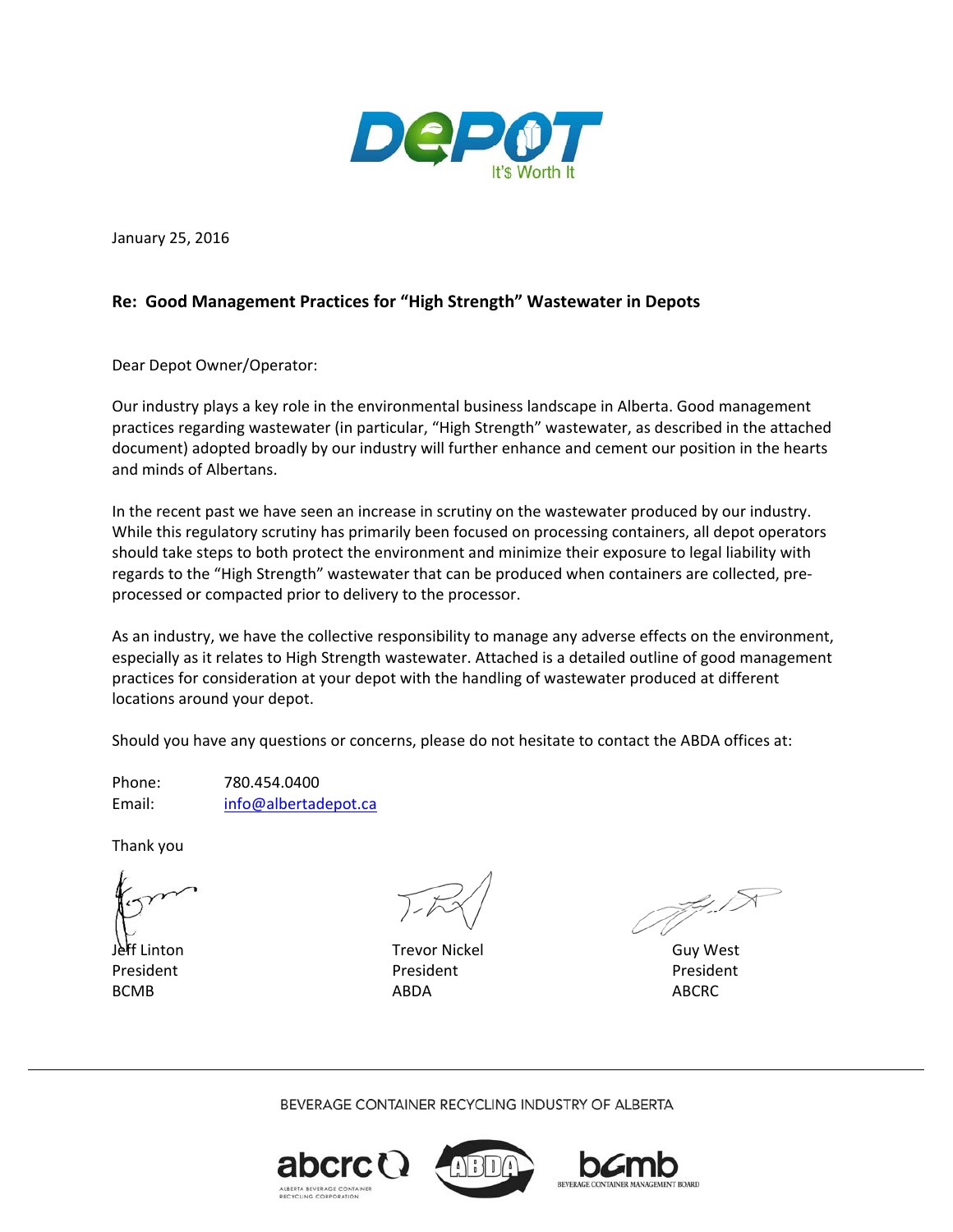

January 25, 2016

## **Re: Good Management Practices for "High Strength" Wastewater in Depots**

Dear Depot Owner/Operator:

Our industry plays a key role in the environmental business landscape in Alberta. Good management practices regarding wastewater (in particular, "High Strength" wastewater, as described in the attached document) adopted broadly by our industry will further enhance and cement our position in the hearts and minds of Albertans.

In the recent past we have seen an increase in scrutiny on the wastewater produced by our industry. While this regulatory scrutiny has primarily been focused on processing containers, all depot operators should take steps to both protect the environment and minimize their exposure to legal liability with regards to the "High Strength" wastewater that can be produced when containers are collected, pre‐ processed or compacted prior to delivery to the processor.

As an industry, we have the collective responsibility to manage any adverse effects on the environment, especially as it relates to High Strength wastewater. Attached is a detailed outline of good management practices for consideration at your depot with the handling of wastewater produced at different locations around your depot.

Should you have any questions or concerns, please do not hesitate to contact the ABDA offices at:

Phone: 780.454.0400 Email: info@albertadepot.ca

Thank you

 $\sqrt{2}$  $\bigcirc$   $\bigcirc$   $\bigcirc$   $\bigcirc$   $\bigcirc$   $\bigcirc$   $\bigcirc$   $\bigcirc$   $\bigcirc$   $\bigcirc$   $\bigcirc$   $\bigcirc$   $\bigcirc$   $\bigcirc$   $\bigcirc$   $\bigcirc$   $\bigcirc$   $\bigcirc$   $\bigcirc$   $\bigcirc$   $\bigcirc$   $\bigcirc$   $\bigcirc$   $\bigcirc$   $\bigcirc$   $\bigcirc$   $\bigcirc$   $\bigcirc$   $\bigcirc$   $\bigcirc$   $\bigcirc$   $\bigcirc$   $\bigcirc$   $\bigcirc$   $\bigcirc$   $\bigcirc$   $\bigcirc$ 

Jeff Linton Trevor Nickel Guy West President President President BCMB ABDA ABCRC

ZI T

BEVERAGE CONTAINER RECYCLING INDUSTRY OF ALBERTA





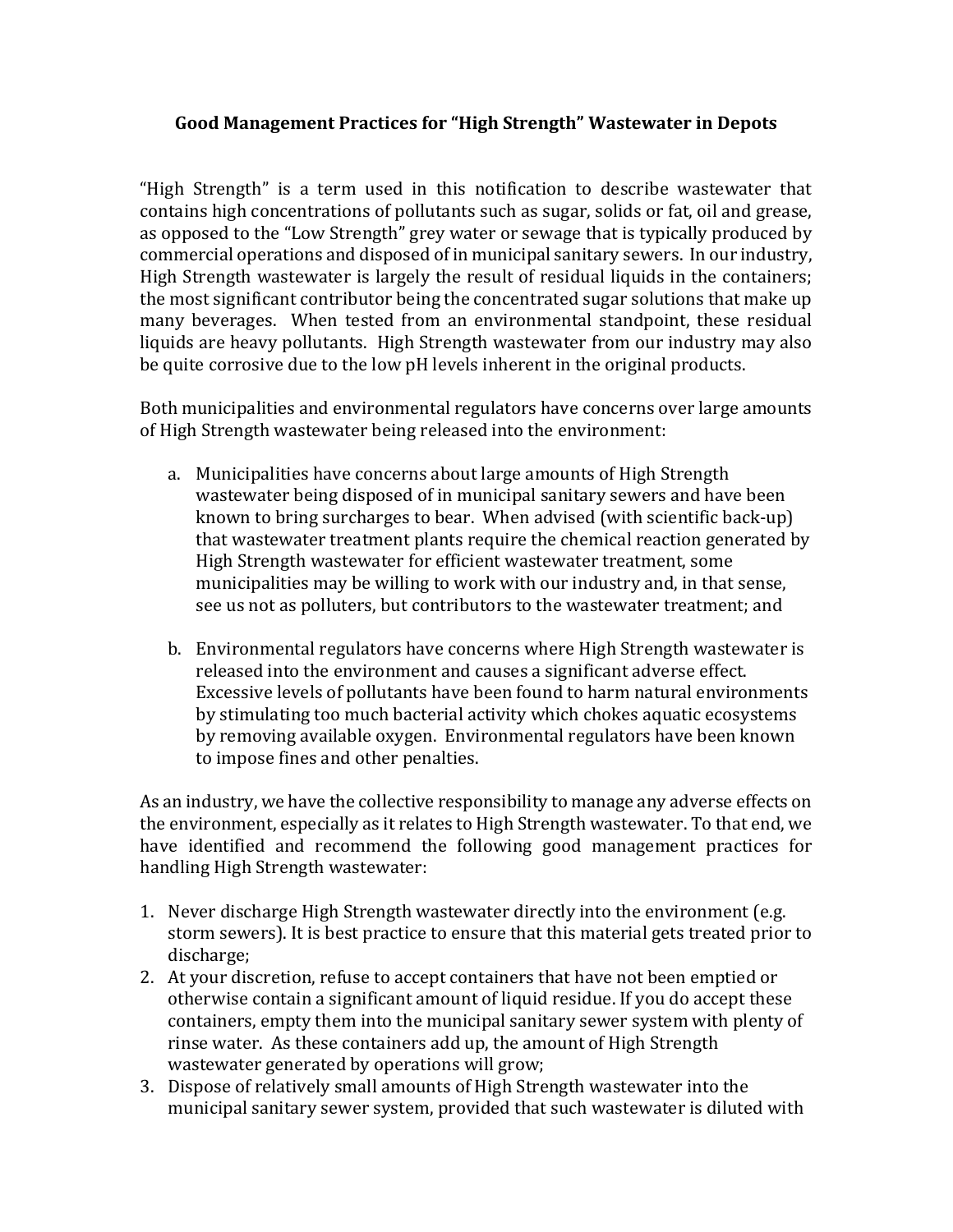## **Good Management Practices for "High Strength" Wastewater in Depots**

"High Strength" is a term used in this notification to describe wastewater that contains high concentrations of pollutants such as sugar, solids or fat, oil and grease, as opposed to the "Low Strength" grey water or sewage that is typically produced by commercial operations and disposed of in municipal sanitary sewers. In our industry, High Strength wastewater is largely the result of residual liquids in the containers; the most significant contributor being the concentrated sugar solutions that make up many beverages. When tested from an environmental standpoint, these residual liquids are heavy pollutants. High Strength wastewater from our industry may also be quite corrosive due to the low pH levels inherent in the original products.

Both municipalities and environmental regulators have concerns over large amounts of High Strength wastewater being released into the environment:

- a. Municipalities have concerns about large amounts of High Strength wastewater being disposed of in municipal sanitary sewers and have been known to bring surcharges to bear. When advised (with scientific back-up) that wastewater treatment plants require the chemical reaction generated by High Strength wastewater for efficient wastewater treatment, some municipalities may be willing to work with our industry and, in that sense, see us not as polluters, but contributors to the wastewater treatment; and
- b. Environmental regulators have concerns where High Strength wastewater is released into the environment and causes a significant adverse effect. Excessive levels of pollutants have been found to harm natural environments by stimulating too much bacterial activity which chokes aquatic ecosystems by removing available oxygen. Environmental regulators have been known to impose fines and other penalties.

As an industry, we have the collective responsibility to manage any adverse effects on the environment, especially as it relates to High Strength wastewater. To that end, we have identified and recommend the following good management practices for handling High Strength wastewater:

- 1. Never discharge High Strength wastewater directly into the environment (e.g. storm sewers). It is best practice to ensure that this material gets treated prior to discharge;
- 2. At your discretion, refuse to accept containers that have not been emptied or otherwise contain a significant amount of liquid residue. If you do accept these containers, empty them into the municipal sanitary sewer system with plenty of rinse water. As these containers add up, the amount of High Strength wastewater generated by operations will grow;
- 3. Dispose of relatively small amounts of High Strength wastewater into the municipal sanitary sewer system, provided that such wastewater is diluted with